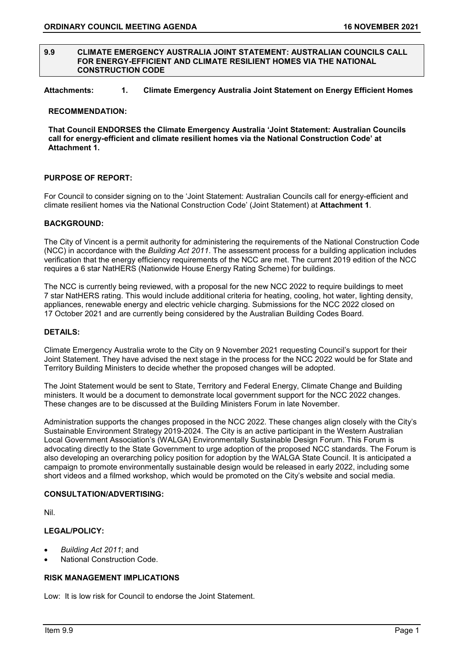#### **9.9 CLIMATE EMERGENCY AUSTRALIA JOINT STATEMENT: AUSTRALIAN COUNCILS CALL FOR ENERGY-EFFICIENT AND CLIMATE RESILIENT HOMES VIA THE NATIONAL CONSTRUCTION CODE**

# **Attachments: 1. Climate Emergency Australia Joint Statement on Energy Efficient Homes**

#### **RECOMMENDATION:**

**That Council ENDORSES the Climate Emergency Australia 'Joint Statement: Australian Councils call for energy-efficient and climate resilient homes via the National Construction Code' at Attachment 1.**

#### **PURPOSE OF REPORT:**

For Council to consider signing on to the 'Joint Statement: Australian Councils call for energy-efficient and climate resilient homes via the National Construction Code' (Joint Statement) at **Attachment 1**.

#### **BACKGROUND:**

The City of Vincent is a permit authority for administering the requirements of the National Construction Code (NCC) in accordance with the *Building Act 2011*. The assessment process for a building application includes verification that the energy efficiency requirements of the NCC are met. The current 2019 edition of the NCC requires a 6 star NatHERS (Nationwide House Energy Rating Scheme) for buildings.

The NCC is currently being reviewed, with a proposal for the new NCC 2022 to require buildings to meet 7 star NatHERS rating. This would include additional criteria for heating, cooling, hot water, lighting density, appliances, renewable energy and electric vehicle charging. Submissions for the NCC 2022 closed on 17 October 2021 and are currently being considered by the Australian Building Codes Board.

#### **DETAILS:**

Climate Emergency Australia wrote to the City on 9 November 2021 requesting Council's support for their Joint Statement. They have advised the next stage in the process for the NCC 2022 would be for State and Territory Building Ministers to decide whether the proposed changes will be adopted.

The Joint Statement would be sent to State, Territory and Federal Energy, Climate Change and Building ministers. It would be a document to demonstrate local government support for the NCC 2022 changes. These changes are to be discussed at the Building Ministers Forum in late November.

Administration supports the changes proposed in the NCC 2022. These changes align closely with the City's Sustainable Environment Strategy 2019-2024. The City is an active participant in the Western Australian Local Government Association's (WALGA) Environmentally Sustainable Design Forum. This Forum is advocating directly to the State Government to urge adoption of the proposed NCC standards. The Forum is also developing an overarching policy position for adoption by the WALGA State Council. It is anticipated a campaign to promote environmentally sustainable design would be released in early 2022, including some short videos and a filmed workshop, which would be promoted on the City's website and social media.

# **CONSULTATION/ADVERTISING:**

Nil.

# **LEGAL/POLICY:**

- *Building Act 2011*; and
- National Construction Code.

# **RISK MANAGEMENT IMPLICATIONS**

Low: It is low risk for Council to endorse the Joint Statement.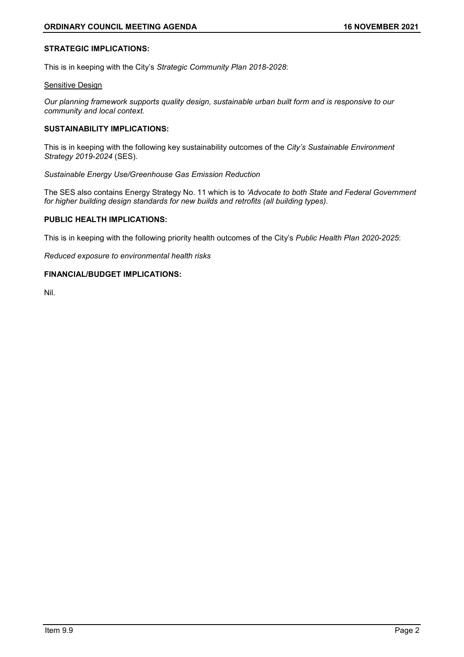### **STRATEGIC IMPLICATIONS:**

This is in keeping with the City's *Strategic Community Plan 2018-2028*:

#### **Sensitive Design**

*Our planning framework supports quality design, sustainable urban built form and is responsive to our community and local context.*

#### **SUSTAINABILITY IMPLICATIONS:**

This is in keeping with the following key sustainability outcomes of the *City's Sustainable Environment Strategy 2019-2024* (SES).

*Sustainable Energy Use/Greenhouse Gas Emission Reduction*

The SES also contains Energy Strategy No. 11 which is to *'Advocate to both State and Federal Government for higher building design standards for new builds and retrofits (all building types).*

#### **PUBLIC HEALTH IMPLICATIONS:**

This is in keeping with the following priority health outcomes of the City's *Public Health Plan 2020-2025*:

*Reduced exposure to environmental health risks*

#### **FINANCIAL/BUDGET IMPLICATIONS:**

Nil.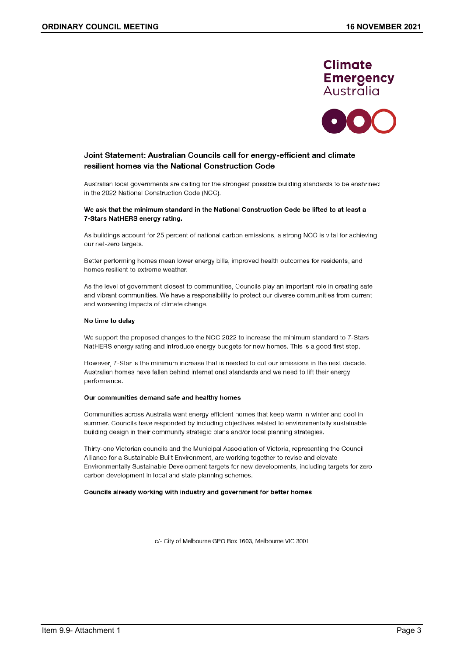



### Joint Statement: Australian Councils call for energy-efficient and climate resilient homes via the National Construction Code

Australian local governments are calling for the strongest possible building standards to be enshrined in the 2022 National Construction Code (NCC).

#### We ask that the minimum standard in the National Construction Code be lifted to at least a 7-Stars NatHERS energy rating.

As buildings account for 25 percent of national carbon emissions, a strong NCC is vital for achieving our net-zero targets.

Better performing homes mean lower energy bills, improved health outcomes for residents, and homes resilient to extreme weather.

As the level of government closest to communities, Councils play an important role in creating safe and vibrant communities. We have a responsibility to protect our diverse communities from current and worsening impacts of climate change.

#### No time to delay

We support the proposed changes to the NCC 2022 to increase the minimum standard to 7-Stars NatHERS energy rating and introduce energy budgets for new homes. This is a good first step.

However, 7-Star is the minimum increase that is needed to cut our emissions in the next decade. Australian homes have fallen behind international standards and we need to lift their energy performance.

#### Our communities demand safe and healthy homes

Communities across Australia want energy efficient homes that keep warm in winter and cool in summer. Councils have responded by including objectives related to environmentally sustainable building design in their community strategic plans and/or local planning strategies.

Thirty-one Victorian councils and the Municipal Association of Victoria, representing the Council Alliance for a Sustainable Built Environment, are working together to revise and elevate Environmentally Sustainable Development targets for new developments, including targets for zero carbon development in local and state planning schemes.

#### Councils already working with industry and government for better homes

c/- City of Melbourne GPO Box 1603, Melbourne VIC 3001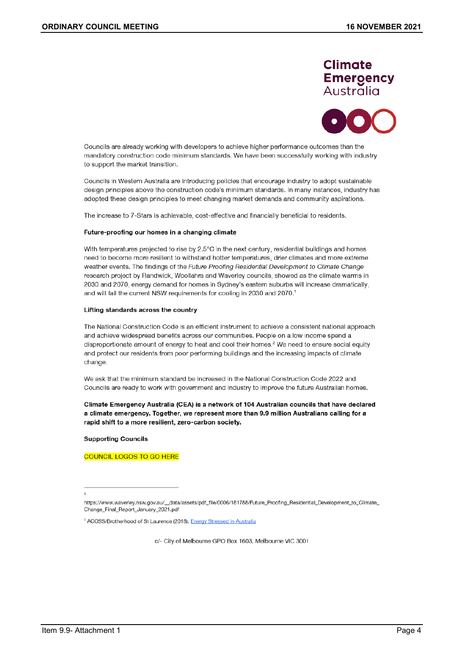# **Climate Emergency** Australia



Councils are already working with developers to achieve higher performance outcomes than the mandatory construction code minimum standards. We have been successfully working with industry to support the market transition.

Councils in Western Australia are introducing policies that encourage industry to adopt sustainable design principles above the construction code's minimum standards. In many instances, industry has adopted these design principles to meet changing market demands and community aspirations.

The increase to 7-Stars is achievable, cost-effective and financially beneficial to residents.

#### Future-proofing our homes in a changing climate

With temperatures projected to rise by 2.5°C in the next century, residential buildings and homes need to become more resilient to withstand hotter temperatures, drier climates and more extreme weather events. The findings of the Future Proofing Residential Development to Climate Change research project by Randwick, Woollahra and Waverley councils, showed as the climate warms in 2030 and 2070, energy demand for homes in Sydney's eastern suburbs will increase dramatically, and will fail the current NSW requirements for cooling in 2030 and 2070.1

#### Lifting standards across the country

The National Construction Code is an efficient instrument to achieve a consistent national approach and achieve widespread benefits across our communities. People on a low income spend a disproportionate amount of energy to heat and cool their homes.<sup>2</sup> We need to ensure social equity and protect our residents from poor performing buildings and the increasing impacts of climate change.

We ask that the minimum standard be increased in the National Construction Code 2022 and Councils are ready to work with government and industry to improve the future Australian homes.

Climate Emergency Australia (CEA) is a network of 104 Australian councils that have declared a climate emergency. Together, we represent more than 9.9 million Australians calling for a rapid shift to a more resilient, zero-carbon society.

**Supporting Councils** 

**COUNCIL LOGOS TO GO HERE** 

c/- City of Melbourne GPO Box 1603, Melbourne VIC 3001

https://www.waverley.nsw.gov.au/\_data/assets/pdf\_file/0006/181788/Future\_Proofing\_Residential\_Development\_to\_Climate\_ Change\_Final\_Report\_January\_2021.pdf

<sup>&</sup>lt;sup>2</sup> ACOSS/Brotherhood of St Laurence (2018): Energy Stressed in Australia